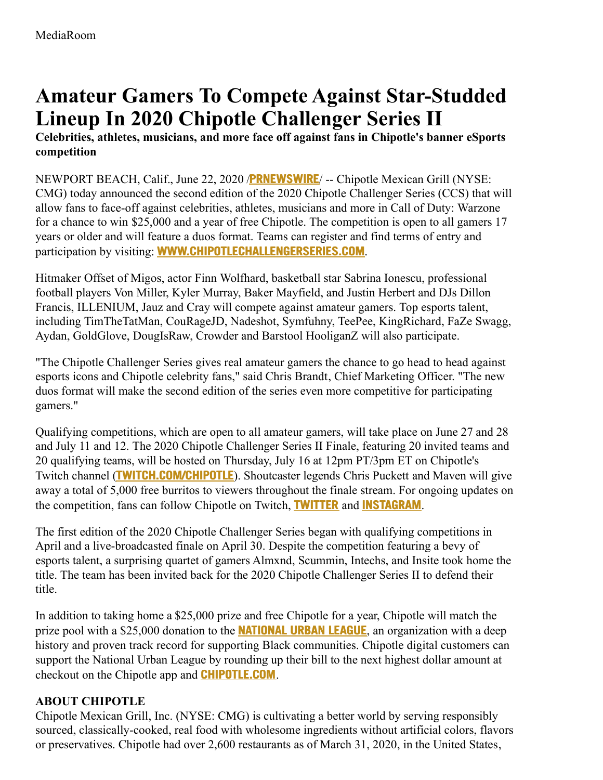## **Amateur Gamers To Compete Against Star-Studded Lineup In 2020 Chipotle Challenger Series II**

**Celebrities, athletes, musicians, and more face off against fans in Chipotle's banner eSports competition**

NEWPORT BEACH, Calif., June 22, 2020 /**[PRNEWSWIRE](http://www.prnewswire.com/)**/ -- Chipotle Mexican Grill (NYSE: CMG) today announced the second edition of the 2020 Chipotle Challenger Series (CCS) that will allow fans to face-off against celebrities, athletes, musicians and more in Call of Duty: Warzone for a chance to win \$25,000 and a year of free Chipotle. The competition is open to all gamers 17 years or older and will feature a duos format. Teams can register and find terms of entry and participation by visiting: **[WWW.CHIPOTLECHALLENGERSERIES.COM](https://c212.net/c/link/?t=0&l=en&o=2837093-1&h=2589594423&u=http%3A%2F%2Fwww.chipotlechallengerseries.com%2F&a=www.chipotlechallengerseries.com)**.

Hitmaker Offset of Migos, actor Finn Wolfhard, basketball star Sabrina Ionescu, professional football players Von Miller, Kyler Murray, Baker Mayfield, and Justin Herbert and DJs Dillon Francis, ILLENIUM, Jauz and Cray will compete against amateur gamers. Top esports talent, including TimTheTatMan, CouRageJD, Nadeshot, Symfuhny, TeePee, KingRichard, FaZe Swagg, Aydan, GoldGlove, DougIsRaw, Crowder and Barstool HooliganZ will also participate.

"The Chipotle Challenger Series gives real amateur gamers the chance to go head to head against esports icons and Chipotle celebrity fans," said Chris Brandt, Chief Marketing Officer. "The new duos format will make the second edition of the series even more competitive for participating gamers."

Qualifying competitions, which are open to all amateur gamers, will take place on June 27 and 28 and July 11 and 12. The 2020 Chipotle Challenger Series II Finale, featuring 20 invited teams and 20 qualifying teams, will be hosted on Thursday, July 16 at 12pm PT/3pm ET on Chipotle's Twitch channel (**[TWITCH.COM/CHIPOTLE](https://c212.net/c/link/?t=0&l=en&o=2837093-1&h=2063612505&u=https%3A%2F%2Fwww.instagram.com%2Fcarolsbooksstore%2F&a=twitch.com%2Fchipotle)**). Shoutcaster legends Chris Puckett and Maven will give away a total of 5,000 free burritos to viewers throughout the finale stream. For ongoing updates on the competition, fans can follow Chipotle on Twitch, **[TWITTER](https://c212.net/c/link/?t=0&l=en&o=2837093-1&h=3113575651&u=https%3A%2F%2Ftwitter.com%2FChipotleTweets%3Fref_src%3Dtwsrc%255Egoogle%257Ctwcamp%255Eserp%257Ctwgr%255Eauthor&a=Twitter)** and **[INSTAGRAM](https://c212.net/c/link/?t=0&l=en&o=2837093-1&h=3443811963&u=https%3A%2F%2Fwww.instagram.com%2Fchipotle%2F%3Fhl%3Den&a=Instagram)**.

The first edition of the 2020 Chipotle Challenger Series began with qualifying competitions in April and a live-broadcasted finale on April 30. Despite the competition featuring a bevy of esports talent, a surprising quartet of gamers Almxnd, Scummin, Intechs, and Insite took home the title. The team has been invited back for the 2020 Chipotle Challenger Series II to defend their title.

In addition to taking home a \$25,000 prize and free Chipotle for a year, Chipotle will match the prize pool with a \$25,000 donation to the **[NATIONAL](https://c212.net/c/link/?t=0&l=en&o=2837093-1&h=3635729428&u=https%3A%2F%2Fnul.org%2F&a=National+Urban+League) URBAN LEAGUE**, an organization with a deep history and proven track record for supporting Black communities. Chipotle digital customers can support the National Urban League by rounding up their bill to the next highest dollar amount at checkout on the Chipotle app and **[CHIPOTLE.COM](https://c212.net/c/link/?t=0&l=en&o=2837093-1&h=3664228602&u=https%3A%2F%2Fwww.chipotle.com%2F&a=Chipotle.com)**.

## **ABOUT CHIPOTLE**

Chipotle Mexican Grill, Inc. (NYSE: CMG) is cultivating a better world by serving responsibly sourced, classically-cooked, real food with wholesome ingredients without artificial colors, flavors or preservatives. Chipotle had over 2,600 restaurants as of March 31, 2020, in the United States,